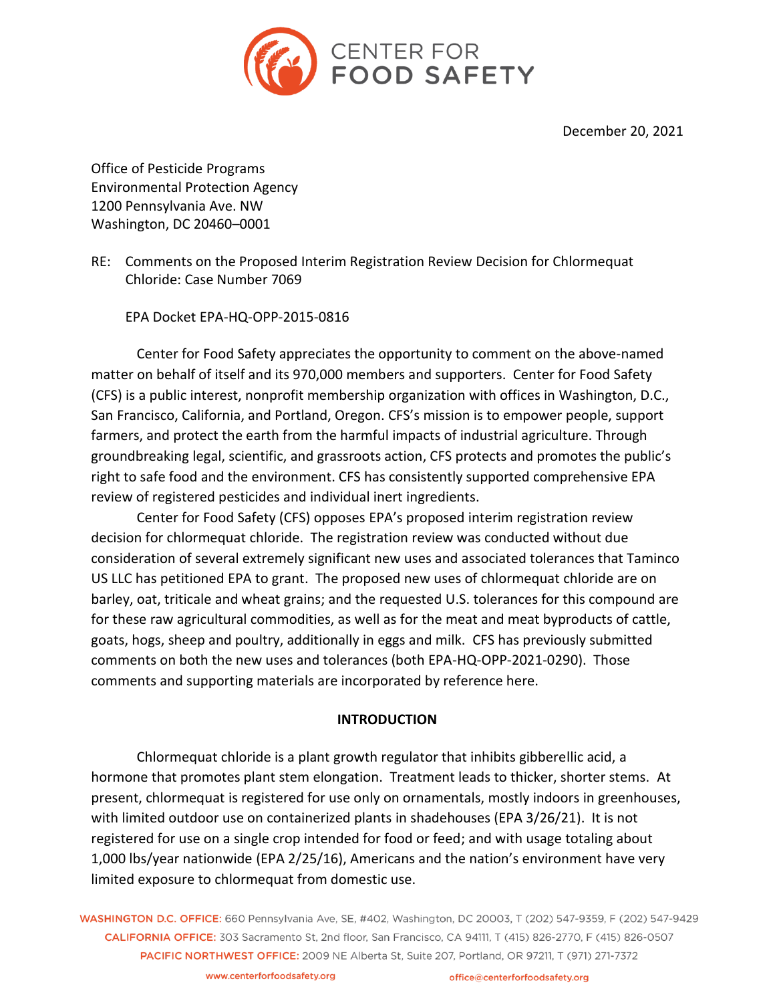

December 20, 2021

Office of Pesticide Programs Environmental Protection Agency 1200 Pennsylvania Ave. NW Washington, DC 20460–0001

RE: Comments on the Proposed Interim Registration Review Decision for Chlormequat Chloride: Case Number 7069

EPA Docket EPA-HQ-OPP-2015-0816

Center for Food Safety appreciates the opportunity to comment on the above-named matter on behalf of itself and its 970,000 members and supporters. Center for Food Safety (CFS) is a public interest, nonprofit membership organization with offices in Washington, D.C., San Francisco, California, and Portland, Oregon. CFS's mission is to empower people, support farmers, and protect the earth from the harmful impacts of industrial agriculture. Through groundbreaking legal, scientific, and grassroots action, CFS protects and promotes the public's right to safe food and the environment. CFS has consistently supported comprehensive EPA review of registered pesticides and individual inert ingredients.

Center for Food Safety (CFS) opposes EPA's proposed interim registration review decision for chlormequat chloride. The registration review was conducted without due consideration of several extremely significant new uses and associated tolerances that Taminco US LLC has petitioned EPA to grant. The proposed new uses of chlormequat chloride are on barley, oat, triticale and wheat grains; and the requested U.S. tolerances for this compound are for these raw agricultural commodities, as well as for the meat and meat byproducts of cattle, goats, hogs, sheep and poultry, additionally in eggs and milk. CFS has previously submitted comments on both the new uses and tolerances (both EPA-HQ-OPP-2021-0290). Those comments and supporting materials are incorporated by reference here.

## **INTRODUCTION**

Chlormequat chloride is a plant growth regulator that inhibits gibberellic acid, a hormone that promotes plant stem elongation. Treatment leads to thicker, shorter stems. At present, chlormequat is registered for use only on ornamentals, mostly indoors in greenhouses, with limited outdoor use on containerized plants in shadehouses (EPA 3/26/21). It is not registered for use on a single crop intended for food or feed; and with usage totaling about 1,000 lbs/year nationwide (EPA 2/25/16), Americans and the nation's environment have very limited exposure to chlormequat from domestic use.

WASHINGTON D.C. OFFICE: 660 Pennsylvania Ave, SE, #402, Washington, DC 20003, T (202) 547-9359, F (202) 547-9429 CALIFORNIA OFFICE: 303 Sacramento St. 2nd floor. San Francisco, CA 94111, T (415) 826-2770, F (415) 826-0507 PACIFIC NORTHWEST OFFICE: 2009 NE Alberta St, Suite 207, Portland, OR 97211, T (971) 271-7372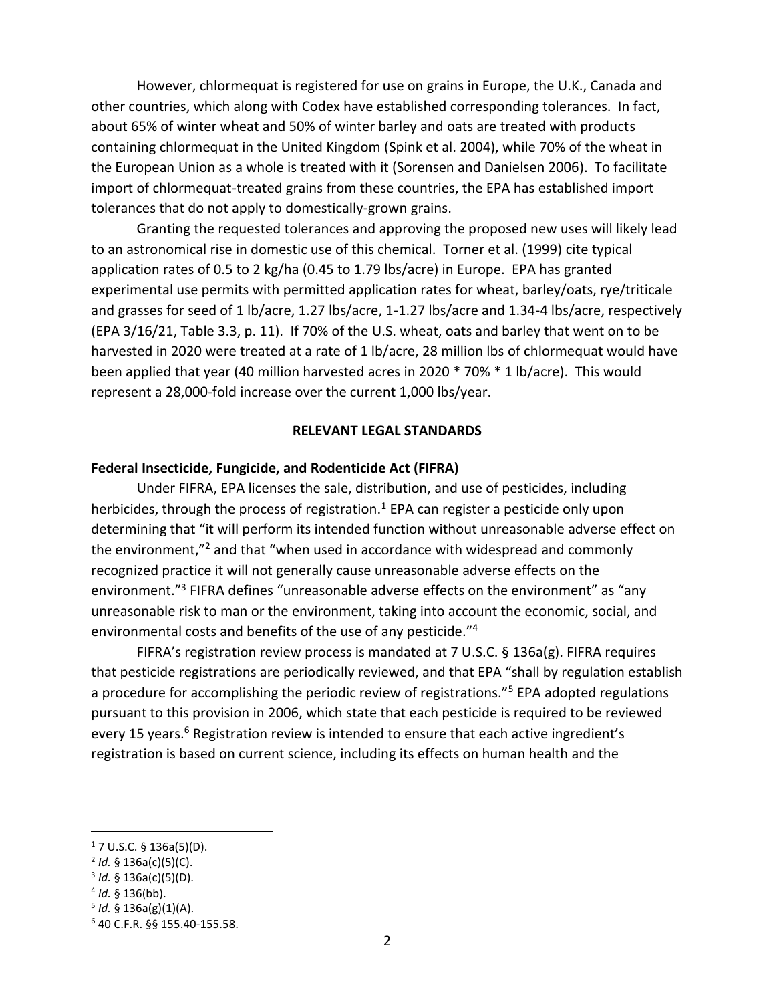However, chlormequat is registered for use on grains in Europe, the U.K., Canada and other countries, which along with Codex have established corresponding tolerances. In fact, about 65% of winter wheat and 50% of winter barley and oats are treated with products containing chlormequat in the United Kingdom (Spink et al. 2004), while 70% of the wheat in the European Union as a whole is treated with it (Sorensen and Danielsen 2006). To facilitate import of chlormequat-treated grains from these countries, the EPA has established import tolerances that do not apply to domestically-grown grains.

Granting the requested tolerances and approving the proposed new uses will likely lead to an astronomical rise in domestic use of this chemical. Torner et al. (1999) cite typical application rates of 0.5 to 2 kg/ha (0.45 to 1.79 lbs/acre) in Europe. EPA has granted experimental use permits with permitted application rates for wheat, barley/oats, rye/triticale and grasses for seed of 1 lb/acre, 1.27 lbs/acre, 1-1.27 lbs/acre and 1.34-4 lbs/acre, respectively (EPA 3/16/21, Table 3.3, p. 11). If 70% of the U.S. wheat, oats and barley that went on to be harvested in 2020 were treated at a rate of 1 lb/acre, 28 million lbs of chlormequat would have been applied that year (40 million harvested acres in 2020 \* 70% \* 1 lb/acre). This would represent a 28,000-fold increase over the current 1,000 lbs/year.

### **RELEVANT LEGAL STANDARDS**

## **Federal Insecticide, Fungicide, and Rodenticide Act (FIFRA)**

Under FIFRA, EPA licenses the sale, distribution, and use of pesticides, including herbicides, through the process of registration.<sup>1</sup> EPA can register a pesticide only upon determining that "it will perform its intended function without unreasonable adverse effect on the environment,"<sup>2</sup> and that "when used in accordance with widespread and commonly recognized practice it will not generally cause unreasonable adverse effects on the environment."<sup>3</sup> FIFRA defines "unreasonable adverse effects on the environment" as "any unreasonable risk to man or the environment, taking into account the economic, social, and environmental costs and benefits of the use of any pesticide."<sup>4</sup>

FIFRA's registration review process is mandated at 7 U.S.C. § 136a(g). FIFRA requires that pesticide registrations are periodically reviewed, and that EPA "shall by regulation establish a procedure for accomplishing the periodic review of registrations."<sup>5</sup> EPA adopted regulations pursuant to this provision in 2006, which state that each pesticide is required to be reviewed every 15 years.<sup>6</sup> Registration review is intended to ensure that each active ingredient's registration is based on current science, including its effects on human health and the

 $17 \text{ U.S.C. }$ § 136a(5)(D).

<sup>2</sup> *Id.* § 136a(c)(5)(C).

<sup>3</sup> *Id.* § 136a(c)(5)(D).

<sup>4</sup> *Id.* § 136(bb).

<sup>5</sup> *Id.* § 136a(g)(1)(A).

<sup>6</sup> 40 C.F.R. §§ 155.40-155.58.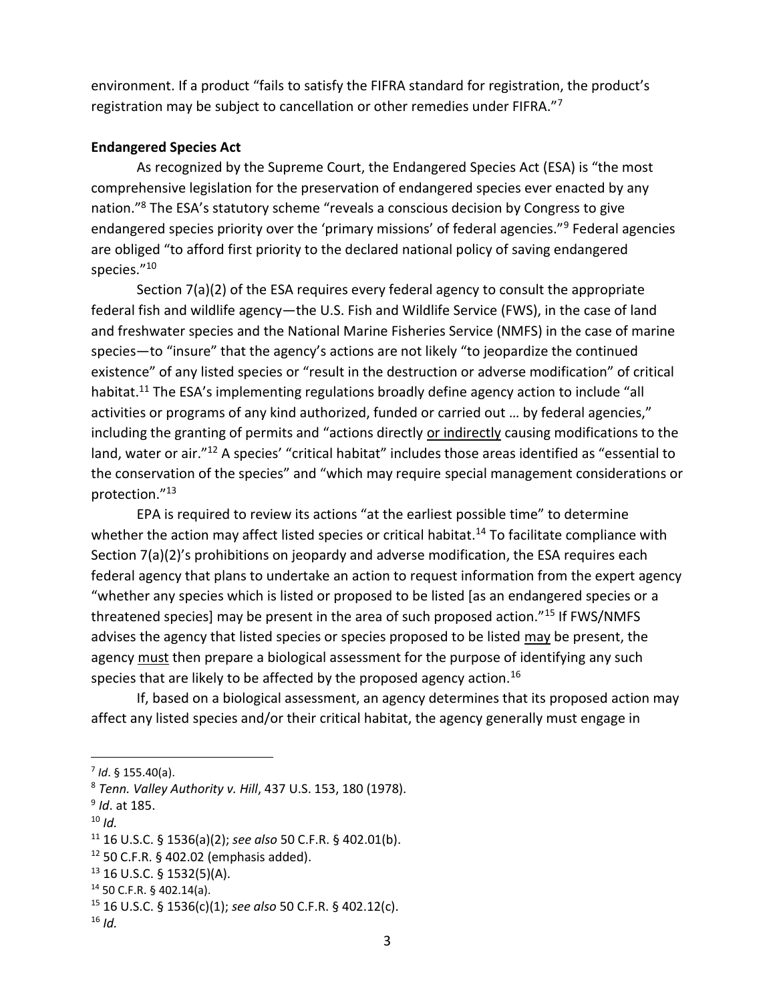environment. If a product "fails to satisfy the FIFRA standard for registration, the product's registration may be subject to cancellation or other remedies under FIFRA."<sup>7</sup>

# **Endangered Species Act**

As recognized by the Supreme Court, the Endangered Species Act (ESA) is "the most comprehensive legislation for the preservation of endangered species ever enacted by any nation."<sup>8</sup> The ESA's statutory scheme "reveals a conscious decision by Congress to give endangered species priority over the 'primary missions' of federal agencies."<sup>9</sup> Federal agencies are obliged "to afford first priority to the declared national policy of saving endangered species."<sup>10</sup>

Section 7(a)(2) of the ESA requires every federal agency to consult the appropriate federal fish and wildlife agency—the U.S. Fish and Wildlife Service (FWS), in the case of land and freshwater species and the National Marine Fisheries Service (NMFS) in the case of marine species—to "insure" that the agency's actions are not likely "to jeopardize the continued existence" of any listed species or "result in the destruction or adverse modification" of critical habitat.<sup>11</sup> The ESA's implementing regulations broadly define agency action to include "all activities or programs of any kind authorized, funded or carried out … by federal agencies," including the granting of permits and "actions directly or indirectly causing modifications to the land, water or air."<sup>12</sup> A species' "critical habitat" includes those areas identified as "essential to the conservation of the species" and "which may require special management considerations or protection."<sup>13</sup>

EPA is required to review its actions "at the earliest possible time" to determine whether the action may affect listed species or critical habitat.<sup>14</sup> To facilitate compliance with Section 7(a)(2)'s prohibitions on jeopardy and adverse modification, the ESA requires each federal agency that plans to undertake an action to request information from the expert agency "whether any species which is listed or proposed to be listed [as an endangered species or a threatened species] may be present in the area of such proposed action."<sup>15</sup> If FWS/NMFS advises the agency that listed species or species proposed to be listed may be present, the agency must then prepare a biological assessment for the purpose of identifying any such species that are likely to be affected by the proposed agency action.<sup>16</sup>

If, based on a biological assessment, an agency determines that its proposed action may affect any listed species and/or their critical habitat, the agency generally must engage in

 $10$  *Id.* 

<sup>7</sup> *Id*. § 155.40(a).

<sup>8</sup> *Tenn. Valley Authority v. Hill*, 437 U.S. 153, 180 (1978).

<sup>9</sup> *Id*. at 185.

<sup>11</sup> 16 U.S.C. § 1536(a)(2); *see also* 50 C.F.R. § 402.01(b).

 $12$  50 C.F.R. § 402.02 (emphasis added).

 $13$  16 U.S.C. § 1532(5)(A).

<sup>14</sup> 50 C.F.R. § 402.14(a).

<sup>15</sup> 16 U.S.C. § 1536(c)(1); *see also* 50 C.F.R. § 402.12(c).

 $16$  *Id.*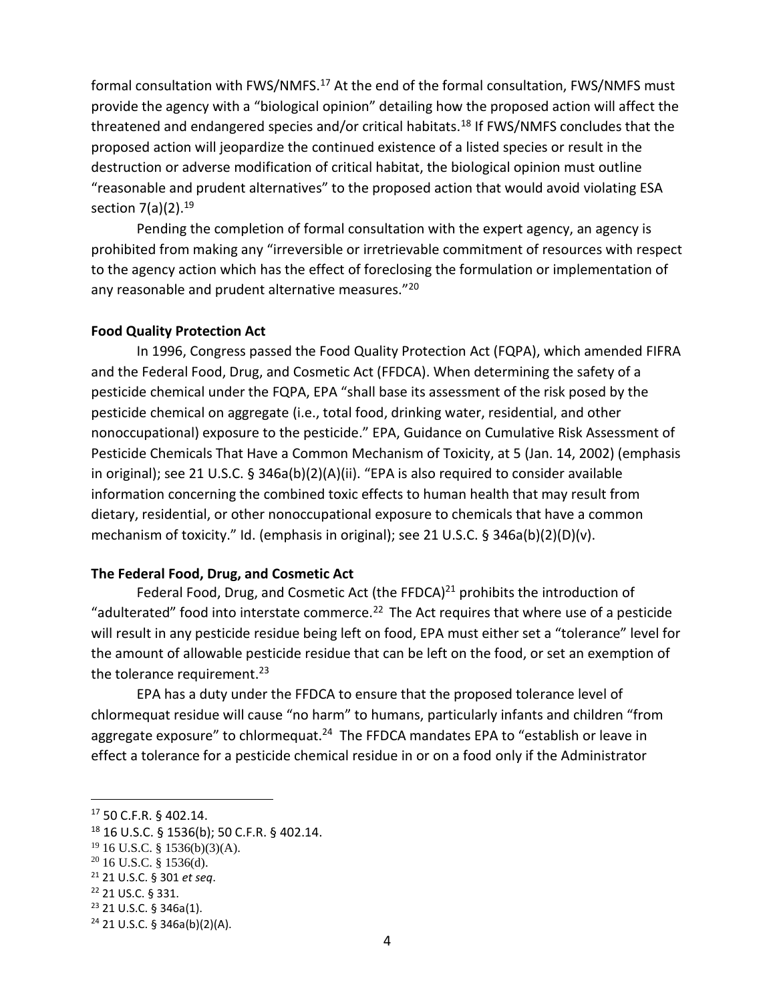formal consultation with FWS/NMFS.<sup>17</sup> At the end of the formal consultation, FWS/NMFS must provide the agency with a "biological opinion" detailing how the proposed action will affect the threatened and endangered species and/or critical habitats.<sup>18</sup> If FWS/NMFS concludes that the proposed action will jeopardize the continued existence of a listed species or result in the destruction or adverse modification of critical habitat, the biological opinion must outline "reasonable and prudent alternatives" to the proposed action that would avoid violating ESA section  $7(a)(2).^{19}$ 

Pending the completion of formal consultation with the expert agency, an agency is prohibited from making any "irreversible or irretrievable commitment of resources with respect to the agency action which has the effect of foreclosing the formulation or implementation of any reasonable and prudent alternative measures."<sup>20</sup>

## **Food Quality Protection Act**

In 1996, Congress passed the Food Quality Protection Act (FQPA), which amended FIFRA and the Federal Food, Drug, and Cosmetic Act (FFDCA). When determining the safety of a pesticide chemical under the FQPA, EPA "shall base its assessment of the risk posed by the pesticide chemical on aggregate (i.e., total food, drinking water, residential, and other nonoccupational) exposure to the pesticide." EPA, Guidance on Cumulative Risk Assessment of Pesticide Chemicals That Have a Common Mechanism of Toxicity, at 5 (Jan. 14, 2002) (emphasis in original); see 21 U.S.C. § 346a(b)(2)(A)(ii). "EPA is also required to consider available information concerning the combined toxic effects to human health that may result from dietary, residential, or other nonoccupational exposure to chemicals that have a common mechanism of toxicity." Id. (emphasis in original); see 21 U.S.C. § 346a(b)(2)(D)(v).

#### **The Federal Food, Drug, and Cosmetic Act**

Federal Food, Drug, and Cosmetic Act (the FFDCA) $^{21}$  prohibits the introduction of "adulterated" food into interstate commerce.<sup>22</sup> The Act requires that where use of a pesticide will result in any pesticide residue being left on food, EPA must either set a "tolerance" level for the amount of allowable pesticide residue that can be left on the food, or set an exemption of the tolerance requirement.<sup>23</sup>

EPA has a duty under the FFDCA to ensure that the proposed tolerance level of chlormequat residue will cause "no harm" to humans, particularly infants and children "from aggregate exposure" to chlormequat.<sup>24</sup> The FFDCA mandates EPA to "establish or leave in effect a tolerance for a pesticide chemical residue in or on a food only if the Administrator

<sup>17</sup> 50 C.F.R. § 402.14.

<sup>18</sup> 16 U.S.C. § 1536(b); 50 C.F.R. § 402.14.

<sup>19</sup> 16 U.S.C. § 1536(b)(3)(A).

 $20$  16 U.S.C. § 1536(d).

<sup>21</sup> 21 U.S.C. § 301 *et seq*.

<sup>22</sup> 21 US.C. § 331.

<sup>23</sup> 21 U.S.C. § 346a(1).

 $24$  21 U.S.C. § 346a(b)(2)(A).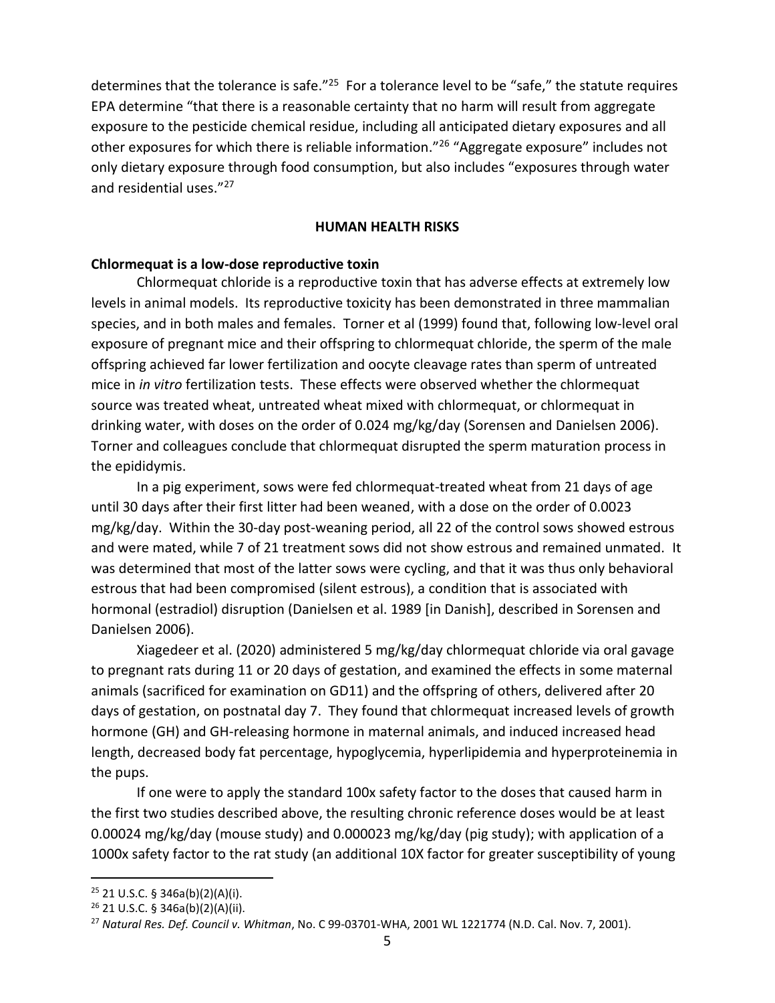determines that the tolerance is safe."<sup>25</sup> For a tolerance level to be "safe," the statute requires EPA determine "that there is a reasonable certainty that no harm will result from aggregate exposure to the pesticide chemical residue, including all anticipated dietary exposures and all other exposures for which there is reliable information."<sup>26</sup> "Aggregate exposure" includes not only dietary exposure through food consumption, but also includes "exposures through water and residential uses."<sup>27</sup>

#### **HUMAN HEALTH RISKS**

#### **Chlormequat is a low-dose reproductive toxin**

Chlormequat chloride is a reproductive toxin that has adverse effects at extremely low levels in animal models. Its reproductive toxicity has been demonstrated in three mammalian species, and in both males and females. Torner et al (1999) found that, following low-level oral exposure of pregnant mice and their offspring to chlormequat chloride, the sperm of the male offspring achieved far lower fertilization and oocyte cleavage rates than sperm of untreated mice in *in vitro* fertilization tests. These effects were observed whether the chlormequat source was treated wheat, untreated wheat mixed with chlormequat, or chlormequat in drinking water, with doses on the order of 0.024 mg/kg/day (Sorensen and Danielsen 2006). Torner and colleagues conclude that chlormequat disrupted the sperm maturation process in the epididymis.

In a pig experiment, sows were fed chlormequat-treated wheat from 21 days of age until 30 days after their first litter had been weaned, with a dose on the order of 0.0023 mg/kg/day. Within the 30-day post-weaning period, all 22 of the control sows showed estrous and were mated, while 7 of 21 treatment sows did not show estrous and remained unmated. It was determined that most of the latter sows were cycling, and that it was thus only behavioral estrous that had been compromised (silent estrous), a condition that is associated with hormonal (estradiol) disruption (Danielsen et al. 1989 [in Danish], described in Sorensen and Danielsen 2006).

Xiagedeer et al. (2020) administered 5 mg/kg/day chlormequat chloride via oral gavage to pregnant rats during 11 or 20 days of gestation, and examined the effects in some maternal animals (sacrificed for examination on GD11) and the offspring of others, delivered after 20 days of gestation, on postnatal day 7. They found that chlormequat increased levels of growth hormone (GH) and GH-releasing hormone in maternal animals, and induced increased head length, decreased body fat percentage, hypoglycemia, hyperlipidemia and hyperproteinemia in the pups.

If one were to apply the standard 100x safety factor to the doses that caused harm in the first two studies described above, the resulting chronic reference doses would be at least 0.00024 mg/kg/day (mouse study) and 0.000023 mg/kg/day (pig study); with application of a 1000x safety factor to the rat study (an additional 10X factor for greater susceptibility of young

 $25$  21 U.S.C. § 346a(b)(2)(A)(i).

<sup>26</sup> 21 U.S.C. § 346a(b)(2)(A)(ii).

<sup>27</sup> *Natural Res. Def. Council v. Whitman*, No. C 99-03701-WHA, 2001 WL 1221774 (N.D. Cal. Nov. 7, 2001).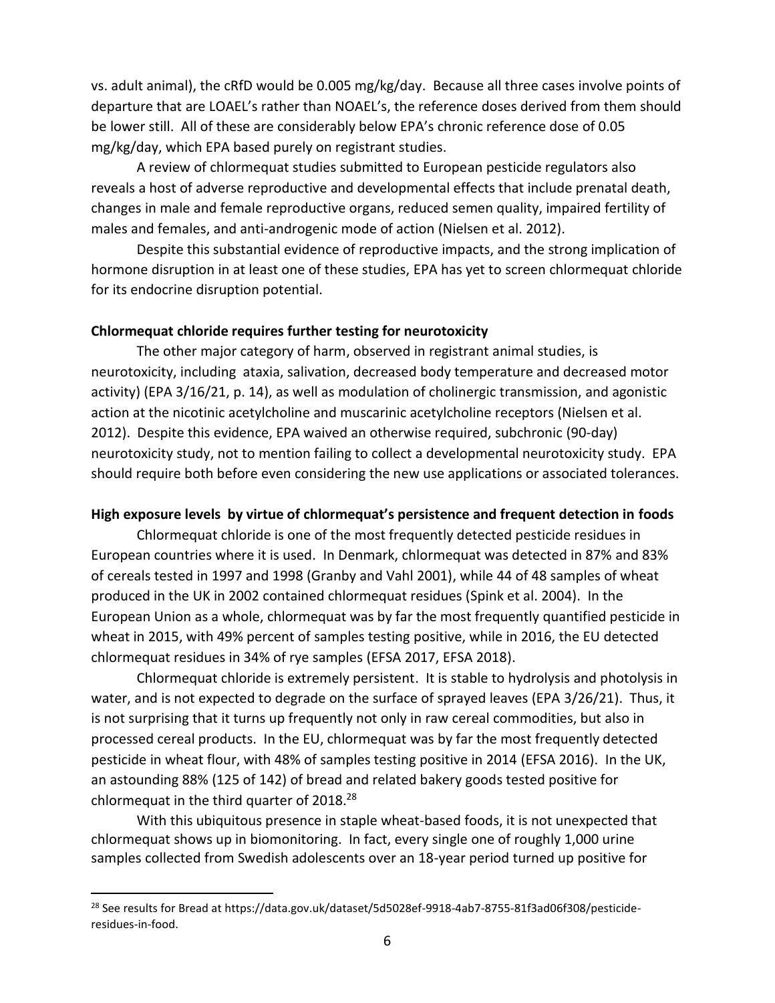vs. adult animal), the cRfD would be 0.005 mg/kg/day. Because all three cases involve points of departure that are LOAEL's rather than NOAEL's, the reference doses derived from them should be lower still. All of these are considerably below EPA's chronic reference dose of 0.05 mg/kg/day, which EPA based purely on registrant studies.

A review of chlormequat studies submitted to European pesticide regulators also reveals a host of adverse reproductive and developmental effects that include prenatal death, changes in male and female reproductive organs, reduced semen quality, impaired fertility of males and females, and anti-androgenic mode of action (Nielsen et al. 2012).

Despite this substantial evidence of reproductive impacts, and the strong implication of hormone disruption in at least one of these studies, EPA has yet to screen chlormequat chloride for its endocrine disruption potential.

## **Chlormequat chloride requires further testing for neurotoxicity**

The other major category of harm, observed in registrant animal studies, is neurotoxicity, including ataxia, salivation, decreased body temperature and decreased motor activity) (EPA 3/16/21, p. 14), as well as modulation of cholinergic transmission, and agonistic action at the nicotinic acetylcholine and muscarinic acetylcholine receptors (Nielsen et al. 2012). Despite this evidence, EPA waived an otherwise required, subchronic (90-day) neurotoxicity study, not to mention failing to collect a developmental neurotoxicity study. EPA should require both before even considering the new use applications or associated tolerances.

#### **High exposure levels by virtue of chlormequat's persistence and frequent detection in foods**

Chlormequat chloride is one of the most frequently detected pesticide residues in European countries where it is used. In Denmark, chlormequat was detected in 87% and 83% of cereals tested in 1997 and 1998 (Granby and Vahl 2001), while 44 of 48 samples of wheat produced in the UK in 2002 contained chlormequat residues (Spink et al. 2004). In the European Union as a whole, chlormequat was by far the most frequently quantified pesticide in wheat in 2015, with 49% percent of samples testing positive, while in 2016, the EU detected chlormequat residues in 34% of rye samples (EFSA 2017, EFSA 2018).

Chlormequat chloride is extremely persistent. It is stable to hydrolysis and photolysis in water, and is not expected to degrade on the surface of sprayed leaves (EPA 3/26/21). Thus, it is not surprising that it turns up frequently not only in raw cereal commodities, but also in processed cereal products. In the EU, chlormequat was by far the most frequently detected pesticide in wheat flour, with 48% of samples testing positive in 2014 (EFSA 2016). In the UK, an astounding 88% (125 of 142) of bread and related bakery goods tested positive for chlormequat in the third quarter of 2018.<sup>28</sup>

With this ubiquitous presence in staple wheat-based foods, it is not unexpected that chlormequat shows up in biomonitoring. In fact, every single one of roughly 1,000 urine samples collected from Swedish adolescents over an 18-year period turned up positive for

<sup>&</sup>lt;sup>28</sup> See results for Bread at [https://data.gov.uk/dataset/5d5028ef-9918-4ab7-8755-81f3ad06f308/pesticide](https://data.gov.uk/dataset/5d5028ef-9918-4ab7-8755-81f3ad06f308/pesticide-residues-in-food)[residues-in-food.](https://data.gov.uk/dataset/5d5028ef-9918-4ab7-8755-81f3ad06f308/pesticide-residues-in-food)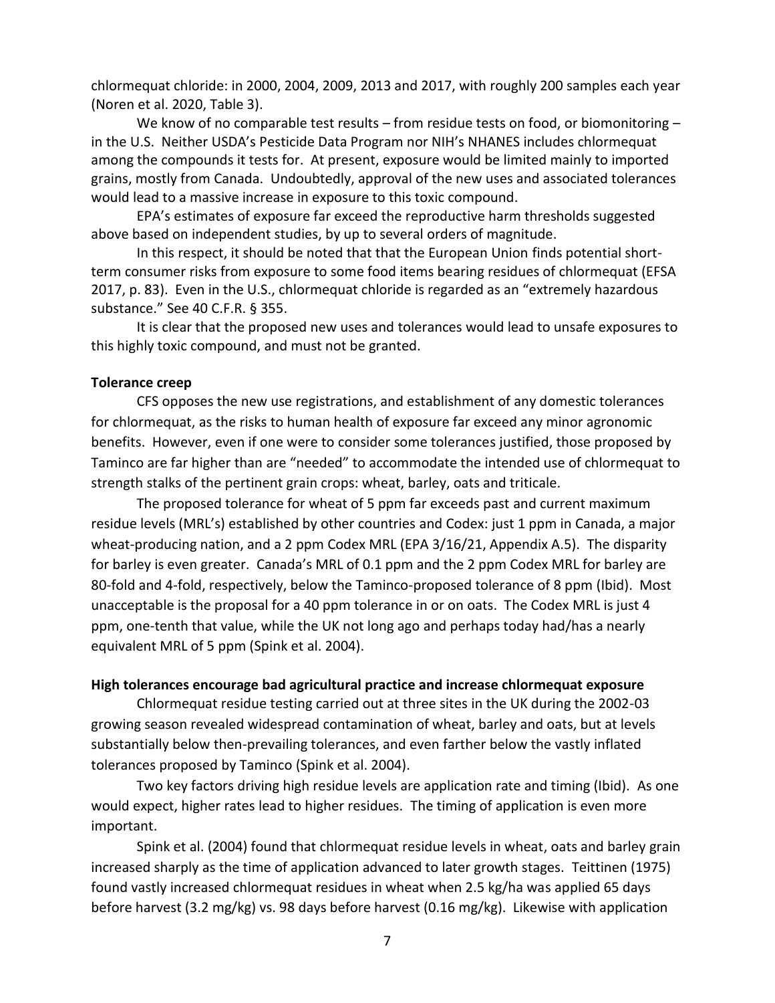chlormequat chloride: in 2000, 2004, 2009, 2013 and 2017, with roughly 200 samples each year (Noren et al. 2020, Table 3).

We know of no comparable test results – from residue tests on food, or biomonitoring – in the U.S. Neither USDA's Pesticide Data Program nor NIH's NHANES includes chlormequat among the compounds it tests for. At present, exposure would be limited mainly to imported grains, mostly from Canada. Undoubtedly, approval of the new uses and associated tolerances would lead to a massive increase in exposure to this toxic compound.

EPA's estimates of exposure far exceed the reproductive harm thresholds suggested above based on independent studies, by up to several orders of magnitude.

In this respect, it should be noted that that the European Union finds potential shortterm consumer risks from exposure to some food items bearing residues of chlormequat (EFSA 2017, p. 83). Even in the U.S., chlormequat chloride is regarded as an "extremely hazardous substance." See 40 C.F.R. § 355.

It is clear that the proposed new uses and tolerances would lead to unsafe exposures to this highly toxic compound, and must not be granted.

## **Tolerance creep**

CFS opposes the new use registrations, and establishment of any domestic tolerances for chlormequat, as the risks to human health of exposure far exceed any minor agronomic benefits. However, even if one were to consider some tolerances justified, those proposed by Taminco are far higher than are "needed" to accommodate the intended use of chlormequat to strength stalks of the pertinent grain crops: wheat, barley, oats and triticale.

The proposed tolerance for wheat of 5 ppm far exceeds past and current maximum residue levels (MRL's) established by other countries and Codex: just 1 ppm in Canada, a major wheat-producing nation, and a 2 ppm Codex MRL (EPA 3/16/21, Appendix A.5). The disparity for barley is even greater. Canada's MRL of 0.1 ppm and the 2 ppm Codex MRL for barley are 80-fold and 4-fold, respectively, below the Taminco-proposed tolerance of 8 ppm (Ibid). Most unacceptable is the proposal for a 40 ppm tolerance in or on oats. The Codex MRL is just 4 ppm, one-tenth that value, while the UK not long ago and perhaps today had/has a nearly equivalent MRL of 5 ppm (Spink et al. 2004).

#### **High tolerances encourage bad agricultural practice and increase chlormequat exposure**

Chlormequat residue testing carried out at three sites in the UK during the 2002-03 growing season revealed widespread contamination of wheat, barley and oats, but at levels substantially below then-prevailing tolerances, and even farther below the vastly inflated tolerances proposed by Taminco (Spink et al. 2004).

Two key factors driving high residue levels are application rate and timing (Ibid). As one would expect, higher rates lead to higher residues. The timing of application is even more important.

Spink et al. (2004) found that chlormequat residue levels in wheat, oats and barley grain increased sharply as the time of application advanced to later growth stages. Teittinen (1975) found vastly increased chlormequat residues in wheat when 2.5 kg/ha was applied 65 days before harvest (3.2 mg/kg) vs. 98 days before harvest (0.16 mg/kg). Likewise with application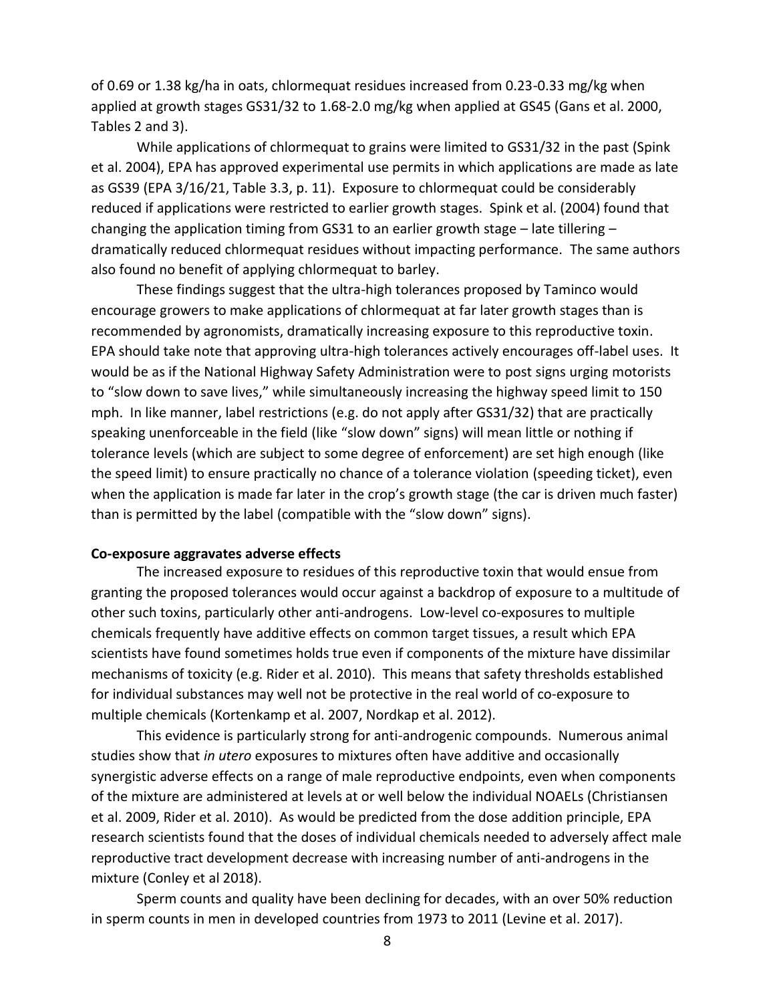of 0.69 or 1.38 kg/ha in oats, chlormequat residues increased from 0.23-0.33 mg/kg when applied at growth stages GS31/32 to 1.68-2.0 mg/kg when applied at GS45 (Gans et al. 2000, Tables 2 and 3).

While applications of chlormequat to grains were limited to GS31/32 in the past (Spink et al. 2004), EPA has approved experimental use permits in which applications are made as late as GS39 (EPA 3/16/21, Table 3.3, p. 11). Exposure to chlormequat could be considerably reduced if applications were restricted to earlier growth stages. Spink et al. (2004) found that changing the application timing from GS31 to an earlier growth stage – late tillering – dramatically reduced chlormequat residues without impacting performance. The same authors also found no benefit of applying chlormequat to barley.

These findings suggest that the ultra-high tolerances proposed by Taminco would encourage growers to make applications of chlormequat at far later growth stages than is recommended by agronomists, dramatically increasing exposure to this reproductive toxin. EPA should take note that approving ultra-high tolerances actively encourages off-label uses. It would be as if the National Highway Safety Administration were to post signs urging motorists to "slow down to save lives," while simultaneously increasing the highway speed limit to 150 mph. In like manner, label restrictions (e.g. do not apply after GS31/32) that are practically speaking unenforceable in the field (like "slow down" signs) will mean little or nothing if tolerance levels (which are subject to some degree of enforcement) are set high enough (like the speed limit) to ensure practically no chance of a tolerance violation (speeding ticket), even when the application is made far later in the crop's growth stage (the car is driven much faster) than is permitted by the label (compatible with the "slow down" signs).

#### **Co-exposure aggravates adverse effects**

The increased exposure to residues of this reproductive toxin that would ensue from granting the proposed tolerances would occur against a backdrop of exposure to a multitude of other such toxins, particularly other anti-androgens. Low-level co-exposures to multiple chemicals frequently have additive effects on common target tissues, a result which EPA scientists have found sometimes holds true even if components of the mixture have dissimilar mechanisms of toxicity (e.g. Rider et al. 2010). This means that safety thresholds established for individual substances may well not be protective in the real world of co-exposure to multiple chemicals (Kortenkamp et al. 2007, Nordkap et al. 2012).

This evidence is particularly strong for anti-androgenic compounds. Numerous animal studies show that *in utero* exposures to mixtures often have additive and occasionally synergistic adverse effects on a range of male reproductive endpoints, even when components of the mixture are administered at levels at or well below the individual NOAELs (Christiansen et al. 2009, Rider et al. 2010). As would be predicted from the dose addition principle, EPA research scientists found that the doses of individual chemicals needed to adversely affect male reproductive tract development decrease with increasing number of anti-androgens in the mixture (Conley et al 2018).

Sperm counts and quality have been declining for decades, with an over 50% reduction in sperm counts in men in developed countries from 1973 to 2011 (Levine et al. 2017).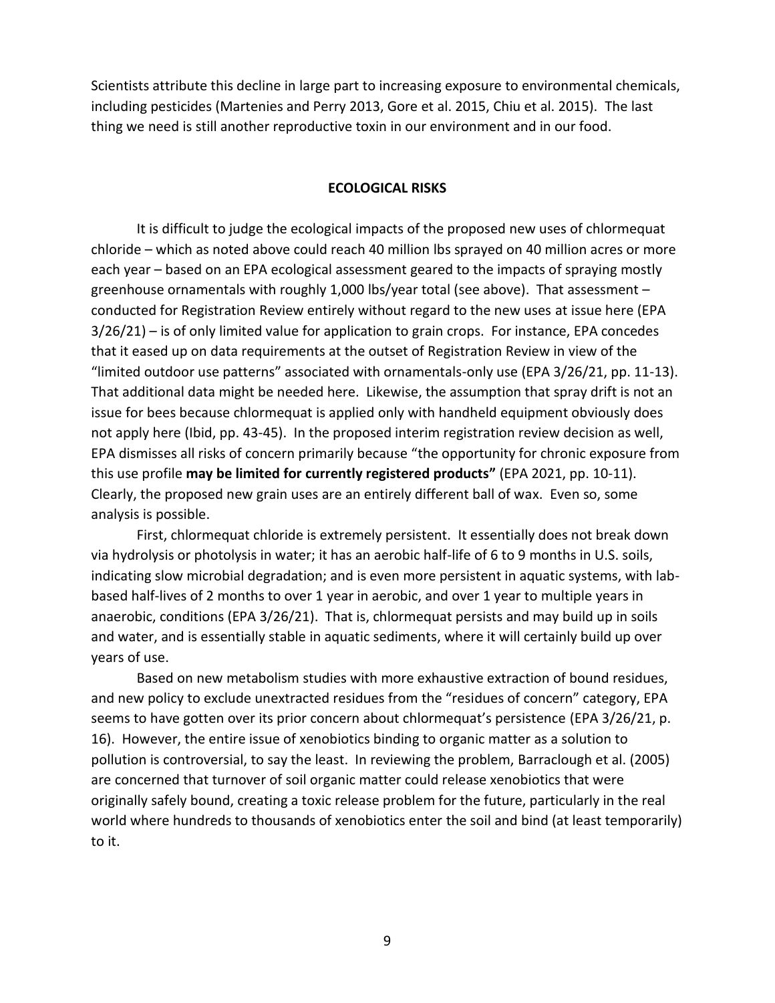Scientists attribute this decline in large part to increasing exposure to environmental chemicals, including pesticides (Martenies and Perry 2013, Gore et al. 2015, Chiu et al. 2015). The last thing we need is still another reproductive toxin in our environment and in our food.

### **ECOLOGICAL RISKS**

It is difficult to judge the ecological impacts of the proposed new uses of chlormequat chloride – which as noted above could reach 40 million lbs sprayed on 40 million acres or more each year – based on an EPA ecological assessment geared to the impacts of spraying mostly greenhouse ornamentals with roughly 1,000 lbs/year total (see above). That assessment – conducted for Registration Review entirely without regard to the new uses at issue here (EPA 3/26/21) – is of only limited value for application to grain crops. For instance, EPA concedes that it eased up on data requirements at the outset of Registration Review in view of the "limited outdoor use patterns" associated with ornamentals-only use (EPA 3/26/21, pp. 11-13). That additional data might be needed here. Likewise, the assumption that spray drift is not an issue for bees because chlormequat is applied only with handheld equipment obviously does not apply here (Ibid, pp. 43-45). In the proposed interim registration review decision as well, EPA dismisses all risks of concern primarily because "the opportunity for chronic exposure from this use profile **may be limited for currently registered products"** (EPA 2021, pp. 10-11). Clearly, the proposed new grain uses are an entirely different ball of wax. Even so, some analysis is possible.

First, chlormequat chloride is extremely persistent. It essentially does not break down via hydrolysis or photolysis in water; it has an aerobic half-life of 6 to 9 months in U.S. soils, indicating slow microbial degradation; and is even more persistent in aquatic systems, with labbased half-lives of 2 months to over 1 year in aerobic, and over 1 year to multiple years in anaerobic, conditions (EPA 3/26/21). That is, chlormequat persists and may build up in soils and water, and is essentially stable in aquatic sediments, where it will certainly build up over years of use.

Based on new metabolism studies with more exhaustive extraction of bound residues, and new policy to exclude unextracted residues from the "residues of concern" category, EPA seems to have gotten over its prior concern about chlormequat's persistence (EPA 3/26/21, p. 16). However, the entire issue of xenobiotics binding to organic matter as a solution to pollution is controversial, to say the least. In reviewing the problem, Barraclough et al. (2005) are concerned that turnover of soil organic matter could release xenobiotics that were originally safely bound, creating a toxic release problem for the future, particularly in the real world where hundreds to thousands of xenobiotics enter the soil and bind (at least temporarily) to it.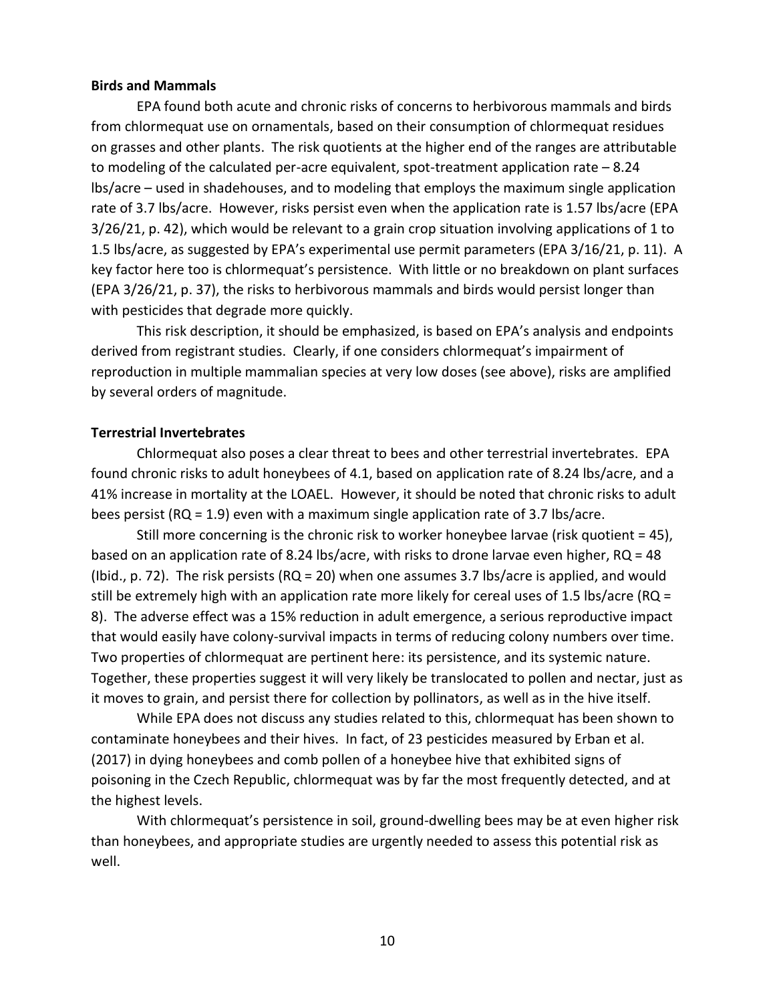#### **Birds and Mammals**

EPA found both acute and chronic risks of concerns to herbivorous mammals and birds from chlormequat use on ornamentals, based on their consumption of chlormequat residues on grasses and other plants. The risk quotients at the higher end of the ranges are attributable to modeling of the calculated per-acre equivalent, spot-treatment application rate – 8.24 lbs/acre – used in shadehouses, and to modeling that employs the maximum single application rate of 3.7 lbs/acre. However, risks persist even when the application rate is 1.57 lbs/acre (EPA 3/26/21, p. 42), which would be relevant to a grain crop situation involving applications of 1 to 1.5 lbs/acre, as suggested by EPA's experimental use permit parameters (EPA 3/16/21, p. 11). A key factor here too is chlormequat's persistence. With little or no breakdown on plant surfaces (EPA 3/26/21, p. 37), the risks to herbivorous mammals and birds would persist longer than with pesticides that degrade more quickly.

This risk description, it should be emphasized, is based on EPA's analysis and endpoints derived from registrant studies. Clearly, if one considers chlormequat's impairment of reproduction in multiple mammalian species at very low doses (see above), risks are amplified by several orders of magnitude.

#### **Terrestrial Invertebrates**

Chlormequat also poses a clear threat to bees and other terrestrial invertebrates. EPA found chronic risks to adult honeybees of 4.1, based on application rate of 8.24 lbs/acre, and a 41% increase in mortality at the LOAEL. However, it should be noted that chronic risks to adult bees persist (RQ = 1.9) even with a maximum single application rate of 3.7 lbs/acre.

Still more concerning is the chronic risk to worker honeybee larvae (risk quotient = 45), based on an application rate of 8.24 lbs/acre, with risks to drone larvae even higher, RQ = 48 (Ibid., p. 72). The risk persists ( $RQ = 20$ ) when one assumes 3.7 lbs/acre is applied, and would still be extremely high with an application rate more likely for cereal uses of 1.5 lbs/acre (RQ = 8). The adverse effect was a 15% reduction in adult emergence, a serious reproductive impact that would easily have colony-survival impacts in terms of reducing colony numbers over time. Two properties of chlormequat are pertinent here: its persistence, and its systemic nature. Together, these properties suggest it will very likely be translocated to pollen and nectar, just as it moves to grain, and persist there for collection by pollinators, as well as in the hive itself.

While EPA does not discuss any studies related to this, chlormequat has been shown to contaminate honeybees and their hives. In fact, of 23 pesticides measured by Erban et al. (2017) in dying honeybees and comb pollen of a honeybee hive that exhibited signs of poisoning in the Czech Republic, chlormequat was by far the most frequently detected, and at the highest levels.

With chlormequat's persistence in soil, ground-dwelling bees may be at even higher risk than honeybees, and appropriate studies are urgently needed to assess this potential risk as well.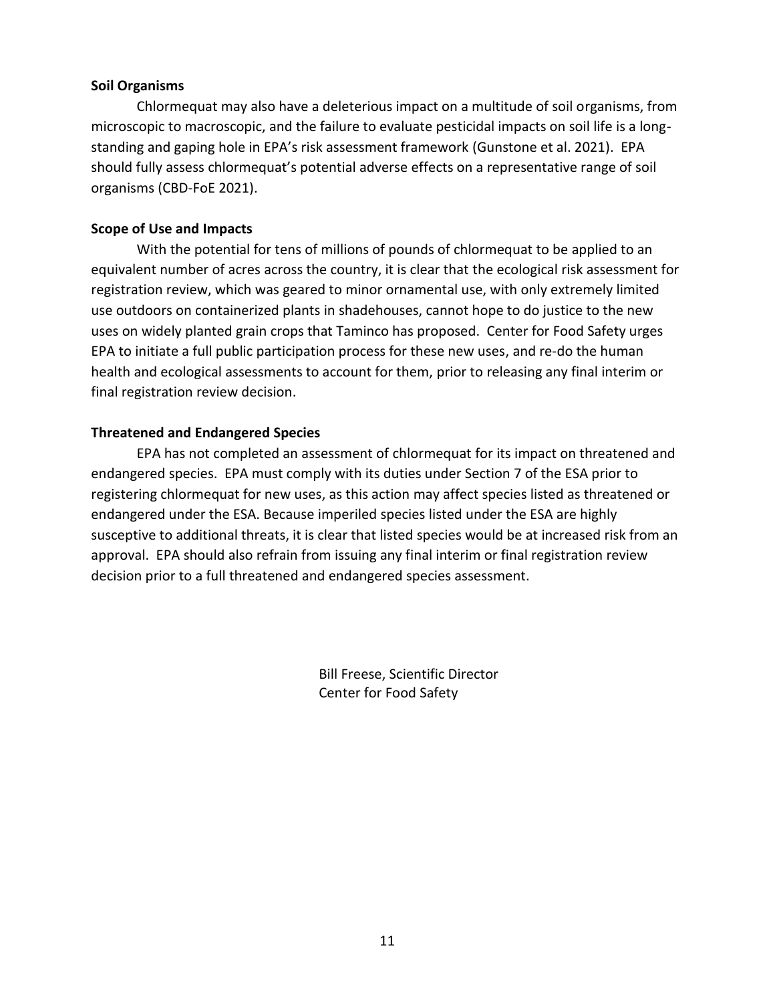## **Soil Organisms**

Chlormequat may also have a deleterious impact on a multitude of soil organisms, from microscopic to macroscopic, and the failure to evaluate pesticidal impacts on soil life is a longstanding and gaping hole in EPA's risk assessment framework (Gunstone et al. 2021). EPA should fully assess chlormequat's potential adverse effects on a representative range of soil organisms (CBD-FoE 2021).

## **Scope of Use and Impacts**

With the potential for tens of millions of pounds of chlormequat to be applied to an equivalent number of acres across the country, it is clear that the ecological risk assessment for registration review, which was geared to minor ornamental use, with only extremely limited use outdoors on containerized plants in shadehouses, cannot hope to do justice to the new uses on widely planted grain crops that Taminco has proposed. Center for Food Safety urges EPA to initiate a full public participation process for these new uses, and re-do the human health and ecological assessments to account for them, prior to releasing any final interim or final registration review decision.

# **Threatened and Endangered Species**

EPA has not completed an assessment of chlormequat for its impact on threatened and endangered species. EPA must comply with its duties under Section 7 of the ESA prior to registering chlormequat for new uses, as this action may affect species listed as threatened or endangered under the ESA. Because imperiled species listed under the ESA are highly susceptive to additional threats, it is clear that listed species would be at increased risk from an approval. EPA should also refrain from issuing any final interim or final registration review decision prior to a full threatened and endangered species assessment.

> Bill Freese, Scientific Director Center for Food Safety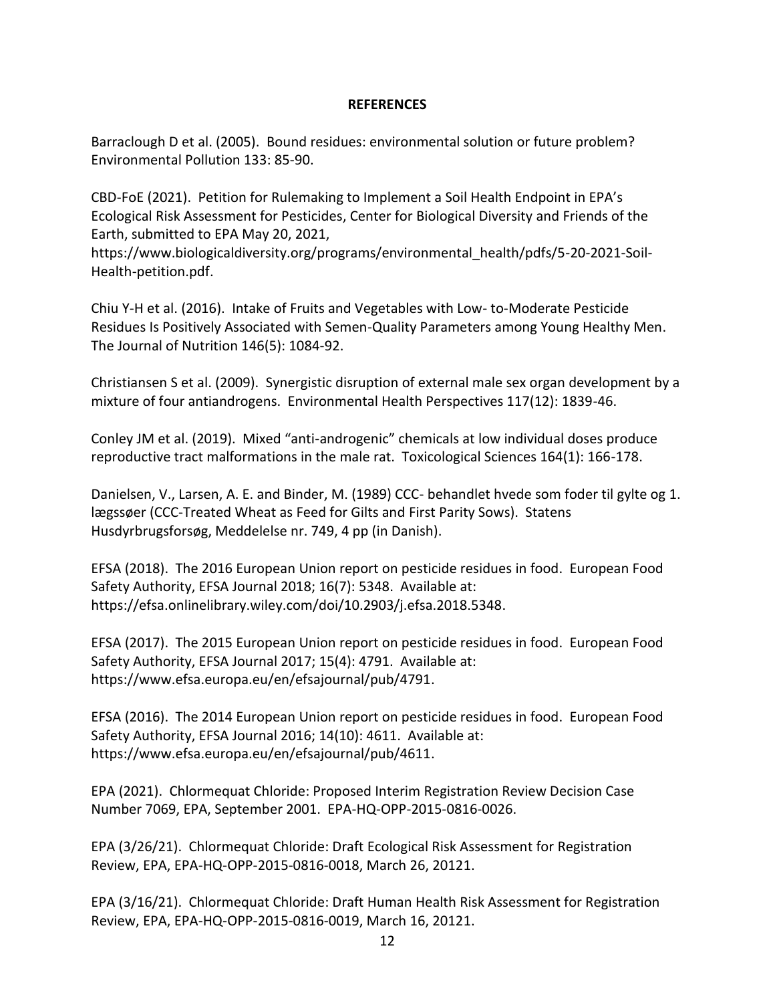## **REFERENCES**

Barraclough D et al. (2005). Bound residues: environmental solution or future problem? Environmental Pollution 133: 85-90.

CBD-FoE (2021). Petition for Rulemaking to Implement a Soil Health Endpoint in EPA's Ecological Risk Assessment for Pesticides, Center for Biological Diversity and Friends of the Earth, submitted to EPA May 20, 2021,

[https://www.biologicaldiversity.org/programs/environmental\\_health/pdfs/5-20-2021-Soil-](https://www.biologicaldiversity.org/programs/environmental_health/pdfs/5-20-2021-Soil-Health-petition.pdf)[Health-petition.pdf.](https://www.biologicaldiversity.org/programs/environmental_health/pdfs/5-20-2021-Soil-Health-petition.pdf)

Chiu Y-H et al. (2016). Intake of Fruits and Vegetables with Low- to-Moderate Pesticide Residues Is Positively Associated with Semen-Quality Parameters among Young Healthy Men. The Journal of Nutrition 146(5): 1084-92.

Christiansen S et al. (2009). Synergistic disruption of external male sex organ development by a mixture of four antiandrogens. Environmental Health Perspectives 117(12): 1839-46.

Conley JM et al. (2019). Mixed "anti-androgenic" chemicals at low individual doses produce reproductive tract malformations in the male rat. Toxicological Sciences 164(1): 166-178.

Danielsen, V., Larsen, A. E. and Binder, M. (1989) CCC- behandlet hvede som foder til gylte og 1. lægssøer (CCC-Treated Wheat as Feed for Gilts and First Parity Sows). Statens Husdyrbrugsforsøg, Meddelelse nr. 749, 4 pp (in Danish).

EFSA (2018). The 2016 European Union report on pesticide residues in food. European Food Safety Authority, EFSA Journal 2018; 16(7): 5348. Available at: [https://efsa.onlinelibrary.wiley.com/doi/10.2903/j.efsa.2018.5348.](https://efsa.onlinelibrary.wiley.com/doi/10.2903/j.efsa.2018.5348)

EFSA (2017). The 2015 European Union report on pesticide residues in food. European Food Safety Authority, EFSA Journal 2017; 15(4): 4791. Available at: [https://www.efsa.europa.eu/en/efsajournal/pub/4791.](https://www.efsa.europa.eu/en/efsajournal/pub/4791)

EFSA (2016). The 2014 European Union report on pesticide residues in food. European Food Safety Authority, EFSA Journal 2016; 14(10): 4611. Available at: https://www.efsa.europa.eu/en/efsajournal/pub/4611.

EPA (2021). Chlormequat Chloride: Proposed Interim Registration Review Decision Case Number 7069, EPA, September 2001. EPA-HQ-OPP-2015-0816-0026.

EPA (3/26/21). Chlormequat Chloride: Draft Ecological Risk Assessment for Registration Review, EPA, EPA-HQ-OPP-2015-0816-0018, March 26, 20121.

EPA (3/16/21). Chlormequat Chloride: Draft Human Health Risk Assessment for Registration Review, EPA, EPA-HQ-OPP-2015-0816-0019, March 16, 20121.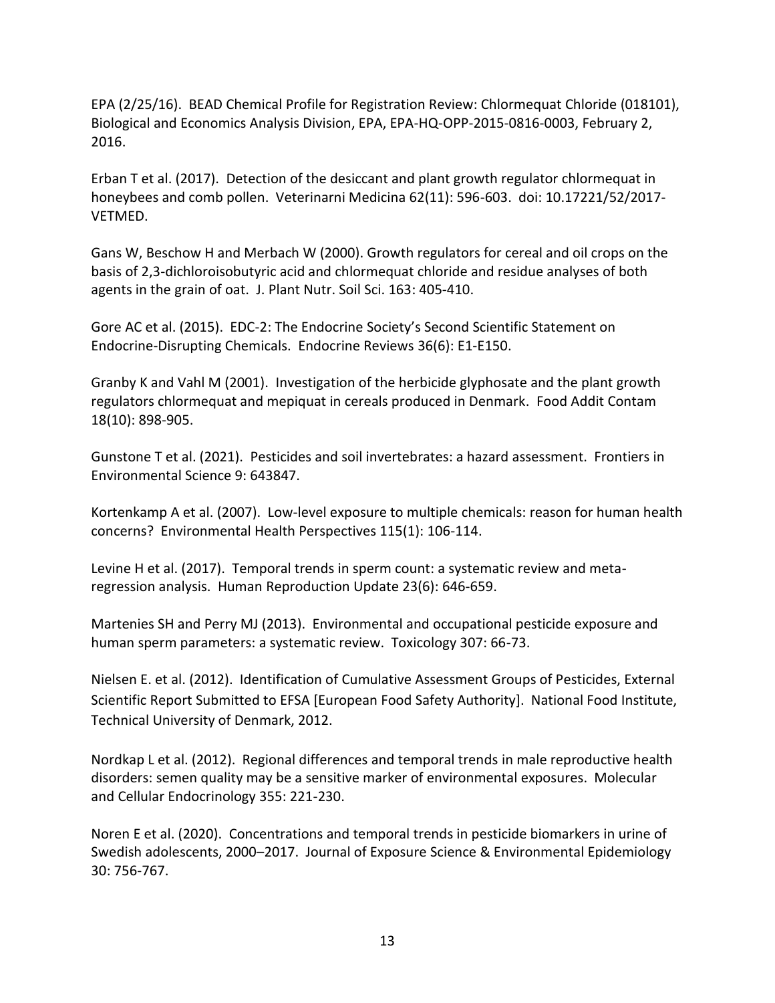EPA (2/25/16). BEAD Chemical Profile for Registration Review: Chlormequat Chloride (018101), Biological and Economics Analysis Division, EPA, EPA-HQ-OPP-2015-0816-0003, February 2, 2016.

Erban T et al. (2017). Detection of the desiccant and plant growth regulator chlormequat in honeybees and comb pollen. Veterinarni Medicina 62(11): 596-603. doi: 10.17221/52/2017- VETMED.

Gans W, Beschow H and Merbach W (2000). Growth regulators for cereal and oil crops on the basis of 2,3-dichloroisobutyric acid and chlormequat chloride and residue analyses of both agents in the grain of oat. J. Plant Nutr. Soil Sci. 163: 405-410.

Gore AC et al. (2015). EDC-2: The Endocrine Society's Second Scientific Statement on Endocrine-Disrupting Chemicals. Endocrine Reviews 36(6): E1-E150.

Granby K and Vahl M (2001). Investigation of the herbicide glyphosate and the plant growth regulators chlormequat and mepiquat in cereals produced in Denmark. Food Addit Contam 18(10): 898-905.

Gunstone T et al. (2021). Pesticides and soil invertebrates: a hazard assessment. Frontiers in Environmental Science 9: 643847.

Kortenkamp A et al. (2007). Low-level exposure to multiple chemicals: reason for human health concerns? Environmental Health Perspectives 115(1): 106-114.

Levine H et al. (2017). Temporal trends in sperm count: a systematic review and metaregression analysis. Human Reproduction Update 23(6): 646-659.

Martenies SH and Perry MJ (2013). Environmental and occupational pesticide exposure and human sperm parameters: a systematic review. Toxicology 307: 66-73.

Nielsen E. et al. (2012). Identification of Cumulative Assessment Groups of Pesticides, External Scientific Report Submitted to EFSA [European Food Safety Authority]. National Food Institute, Technical University of Denmark, 2012.

Nordkap L et al. (2012). Regional differences and temporal trends in male reproductive health disorders: semen quality may be a sensitive marker of environmental exposures. Molecular and Cellular Endocrinology 355: 221-230.

Noren E et al. (2020). Concentrations and temporal trends in pesticide biomarkers in urine of Swedish adolescents, 2000–2017. Journal of Exposure Science & Environmental Epidemiology 30: 756-767.